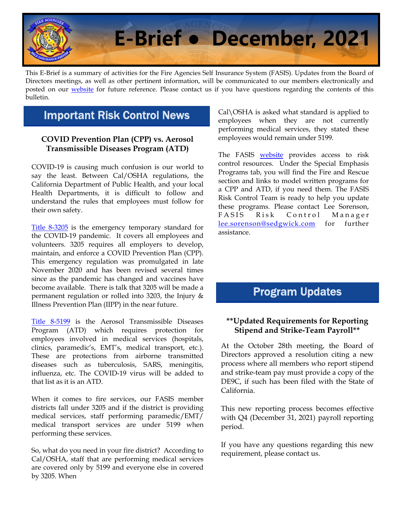

This E-Brief is a summary of activities for the Fire Agencies Self Insurance System (FASIS). Updates from the Board of Directors meetings, as well as other pertinent information, will be communicated to our members electronically and posted on our website for future reference. Please contact us if you have questions regarding the contents of this bulletin.

# Important Risk Control News

### **COVID Prevention Plan (CPP) vs. Aerosol Transmissible Diseases Program (ATD)**

COVID-19 is causing much confusion is our world to say the least. Between Cal/OSHA regulations, the California Department of Public Health, and your local Health Departments, it is difficult to follow and understand the rules that employees must follow for their own safety.

Title 8-3205 is the emergency temporary standard for the COVID-19 pandemic. It covers all employees and volunteers. 3205 requires all employers to develop, maintain, and enforce a COVID Prevention Plan (CPP). This emergency regulation was promulgated in late November 2020 and has been revised several times since as the pandemic has changed and vaccines have become available. There is talk that 3205 will be made a permanent regulation or rolled into 3203, the Injury & Illness Prevention Plan (IIPP) in the near future.

Title 8-5199 is the Aerosol Transmissible Diseases Program (ATD) which requires protection for employees involved in medical services (hospitals, clinics, paramedic's, EMT's, medical transport, etc.). These are protections from airborne transmitted diseases such as tuberculosis, SARS, meningitis, influenza, etc. The COVID-19 virus will be added to that list as it is an ATD.

When it comes to fire services, our FASIS member districts fall under 3205 and if the district is providing medical services, staff performing paramedic/EMT/ medical transport services are under 5199 when performing these services.

So, what do you need in your fire district? According to Cal/OSHA, staff that are performing medical services are covered only by 5199 and everyone else in covered by 3205. When

Cal\OSHA is asked what standard is applied to employees when they are not currently performing medical services, they stated these employees would remain under 5199.

The FASIS **website** provides access to risk control resources. Under the Special Emphasis Programs tab, you will find the Fire and Rescue section and links to model written programs for a CPP and ATD, if you need them. The FASIS Risk Control Team is ready to help you update these programs. Please contact Lee Sorenson, FASIS Risk Control Manager lee.sorenson@sedgwick.com for further assistance.

### Program Updates

### **\*\*Updated Requirements for Reporting Stipend and Strike-Team Payroll\*\***

At the October 28th meeting, the Board of Directors approved a resolution citing a new process where all members who report stipend and strike-team pay must provide a copy of the DE9C, if such has been filed with the State of California.

This new reporting process becomes effective with Q4 (December 31, 2021) payroll reporting period.

If you have any questions regarding this new requirement, please contact us.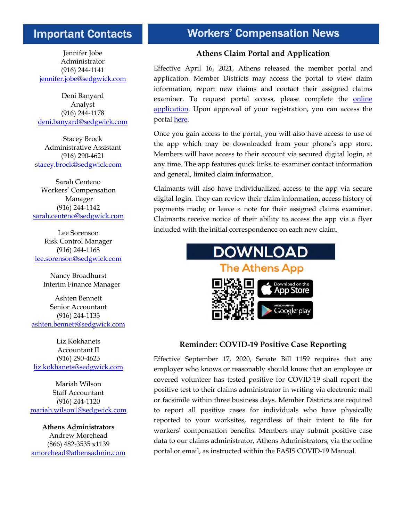## Important Contacts

Jennifer Jobe Administrator (916) 244-1141 jennifer.jobe@sedgwick.com

Deni Banyard Analyst (916) 244-1178 deni.banyard@sedgwick.com

Stacey Brock Administrative Assistant (916) 290-4621 stacey.brock@sedgwick.com

Sarah Centeno Workers' Compensation Manager (916) 244-1142 sarah.centeno@sedgwick.com

Lee Sorenson Risk Control Manager (916) 244-1168 lee.sorenson@sedgwick.com

Nancy Broadhurst Interim Finance Manager

Ashten Bennett Senior Accountant (916) 244-1133 ashten.bennett@sedgwick.com

Liz Kokhanets Accountant II (916) 290-4623 liz.kokhanets@sedgwick.com

Mariah Wilson Staff Accountant (916) 244-1120 mariah.wilson1@sedgwick.com

**Athens Administrators**  Andrew Morehead (866) 482-3535 x1139 amorehead@athensadmin.com

# Workers' Compensation News

#### **Athens Claim Portal and Application**

Effective April 16, 2021, Athens released the member portal and application. Member Districts may access the portal to view claim information, report new claims and contact their assigned claims examiner. To request portal access, please complete the online application. Upon approval of your registration, you can access the portal here.

Once you gain access to the portal, you will also have access to use of the app which may be downloaded from your phone's app store. Members will have access to their account via secured digital login, at any time. The app features quick links to examiner contact information and general, limited claim information.

Claimants will also have individualized access to the app via secure digital login. They can review their claim information, access history of payments made, or leave a note for their assigned claims examiner. Claimants receive notice of their ability to access the app via a flyer included with the initial correspondence on each new claim.



#### **Reminder: COVID-19 Positive Case Reporting**

Effective September 17, 2020, Senate Bill 1159 requires that any employer who knows or reasonably should know that an employee or covered volunteer has tested positive for COVID-19 shall report the positive test to their claims administrator in writing via electronic mail or facsimile within three business days. Member Districts are required to report all positive cases for individuals who have physically reported to your worksites, regardless of their intent to file for workers' compensation benefits. Members may submit positive case data to our claims administrator, Athens Administrators, via the online portal or email, as instructed within the FASIS COVID-19 Manual.